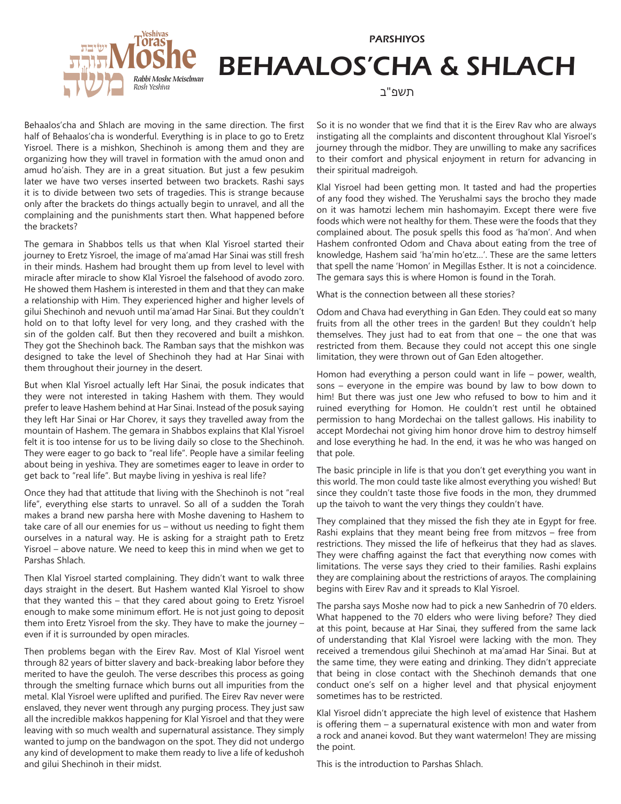



## BEHAALOS'CHA & SHLACH

תשפ"ב

מספר עמותה - 580107803 **ישיבת תורת משה - כולל דבר יוסף** )ע״ר( Behaalos'cha and Shlach are moving in the same direction. The first half of Behaalos'cha is wonderful. Everything is in place to go to Eretz Yisroel. There is a mishkon, Shechinoh is among them and they are organizing how they will travel in formation with the amud onon and amud ho'aish. They are in a great situation. But just a few pesukim later we have two verses inserted between two brackets. Rashi says it is to divide between two sets of tragedies. This is strange because only after the brackets do things actually begin to unravel, and all the complaining and the punishments start then. What happened before the brackets?

The gemara in Shabbos tells us that when Klal Yisroel started their journey to Eretz Yisroel, the image of ma'amad Har Sinai was still fresh in their minds. Hashem had brought them up from level to level with miracle after miracle to show Klal Yisroel the falsehood of avodo zoro. He showed them Hashem is interested in them and that they can make a relationship with Him. They experienced higher and higher levels of gilui Shechinoh and nevuoh until ma'amad Har Sinai. But they couldn't hold on to that lofty level for very long, and they crashed with the sin of the golden calf. But then they recovered and built a mishkon. They got the Shechinoh back. The Ramban says that the mishkon was designed to take the level of Shechinoh they had at Har Sinai with them throughout their journey in the desert.

But when Klal Yisroel actually left Har Sinai, the posuk indicates that they were not interested in taking Hashem with them. They would prefer to leave Hashem behind at Har Sinai. Instead of the posuk saying they left Har Sinai or Har Chorev, it says they travelled away from the mountain of Hashem. The gemara in Shabbos explains that Klal Yisroel felt it is too intense for us to be living daily so close to the Shechinoh. They were eager to go back to "real life". People have a similar feeling about being in yeshiva. They are sometimes eager to leave in order to get back to "real life". But maybe living in yeshiva is real life?

Once they had that attitude that living with the Shechinoh is not "real life", everything else starts to unravel. So all of a sudden the Torah makes a brand new parsha here with Moshe davening to Hashem to take care of all our enemies for us – without us needing to fight them ourselves in a natural way. He is asking for a straight path to Eretz Yisroel – above nature. We need to keep this in mind when we get to Parshas Shlach.

Then Klal Yisroel started complaining. They didn't want to walk three days straight in the desert. But Hashem wanted Klal Yisroel to show that they wanted this – that they cared about going to Eretz Yisroel enough to make some minimum effort. He is not just going to deposit them into Eretz Yisroel from the sky. They have to make the journey – even if it is surrounded by open miracles.

*41 Yoel Street, PO Box 5322, Jerusalem* Then problems began with the Eirev Rav. Most of Klal Yisroel went through 82 years of bitter slavery and back-breaking labor before they merited to have the geuloh. The verse describes this process as going through the smelting furnace which burns out all impurities from the metal. Klal Yisroel were uplifted and purified. The Eirev Rav never were enslaved, they never went through any purging process. They just saw all the incredible makkos happening for Klal Yisroel and that they were leaving with so much wealth and supernatural assistance. They simply wanted to jump on the bandwagon on the spot. They did not undergo any kind of development to make them ready to live a life of kedushoh and gilui Shechinoh in their midst.

So it is no wonder that we find that it is the Eirev Rav who are always instigating all the complaints and discontent throughout Klal Yisroel's journey through the midbor. They are unwilling to make any sacrifices to their comfort and physical enjoyment in return for advancing in their spiritual madreigoh.

Klal Yisroel had been getting mon. It tasted and had the properties of any food they wished. The Yerushalmi says the brocho they made on it was hamotzi lechem min hashomayim. Except there were five foods which were not healthy for them. These were the foods that they complained about. The posuk spells this food as 'ha'mon'. And when Hashem confronted Odom and Chava about eating from the tree of knowledge, Hashem said 'ha'min ho'etz…'. These are the same letters that spell the name 'Homon' in Megillas Esther. It is not a coincidence. The gemara says this is where Homon is found in the Torah.

What is the connection between all these stories?

Odom and Chava had everything in Gan Eden. They could eat so many fruits from all the other trees in the garden! But they couldn't help themselves. They just had to eat from that one – the one that was restricted from them. Because they could not accept this one single limitation, they were thrown out of Gan Eden altogether.

Homon had everything a person could want in life – power, wealth, sons – everyone in the empire was bound by law to bow down to him! But there was just one Jew who refused to bow to him and it ruined everything for Homon. He couldn't rest until he obtained permission to hang Mordechai on the tallest gallows. His inability to accept Mordechai not giving him honor drove him to destroy himself and lose everything he had. In the end, it was he who was hanged on that pole.

The basic principle in life is that you don't get everything you want in this world. The mon could taste like almost everything you wished! But since they couldn't taste those five foods in the mon, they drummed up the taivoh to want the very things they couldn't have.

They complained that they missed the fish they ate in Egypt for free. Rashi explains that they meant being free from mitzvos – free from restrictions. They missed the life of hefkeirus that they had as slaves. They were chaffing against the fact that everything now comes with limitations. The verse says they cried to their families. Rashi explains they are complaining about the restrictions of arayos. The complaining begins with Eirev Rav and it spreads to Klal Yisroel.

*tel. student: 972-2-532 5213 / 582 1000* received a tremendous gilui Shechinoh at ma'amad Har Sinai. But at they the same time, they were eating and drinking. They didn't appreciate *http://www.torasmoshe.org* that being in close contact with the Shechinoh demands that one The parsha says Moshe now had to pick a new Sanhedrin of 70 elders. What happened to the 70 elders who were living before? They died at this point, because at Har Sinai, they suffered from the same lack of understanding that Klal Yisroel were lacking with the mon. They conduct one's self on a higher level and that physical enjoyment sometimes has to be restricted.

Klal Yisroel didn't appreciate the high level of existence that Hashem is offering them – a supernatural existence with mon and water from a rock and ananei kovod. But they want watermelon! They are missing the point.

This is the introduction to Parshas Shlach.